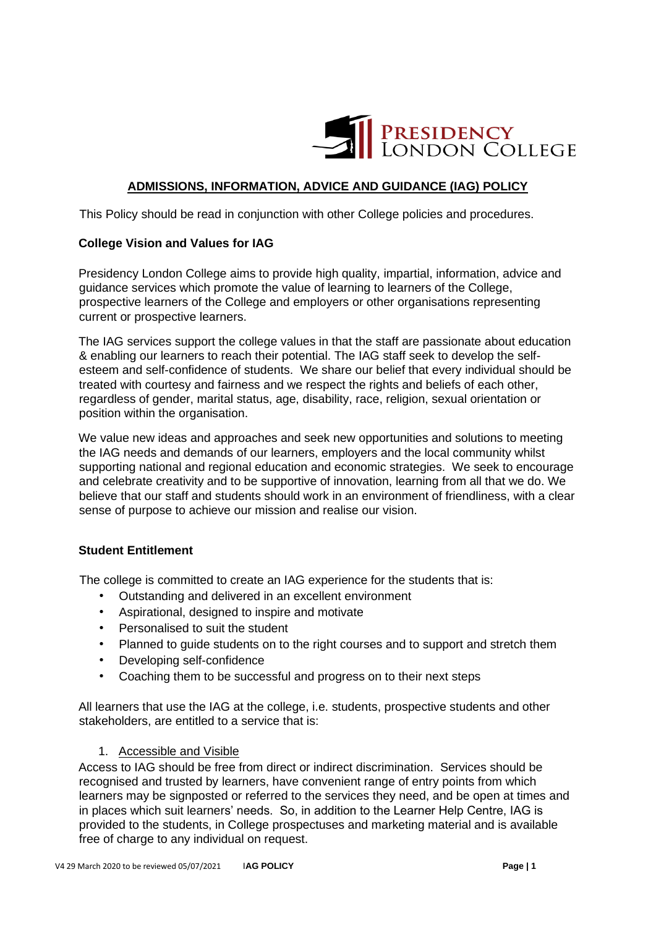

# **ADMISSIONS, INFORMATION, ADVICE AND GUIDANCE (IAG) POLICY**

This Policy should be read in conjunction with other College policies and procedures.

## **College Vision and Values for IAG**

Presidency London College aims to provide high quality, impartial, information, advice and guidance services which promote the value of learning to learners of the College, prospective learners of the College and employers or other organisations representing current or prospective learners.

The IAG services support the college values in that the staff are passionate about education & enabling our learners to reach their potential. The IAG staff seek to develop the selfesteem and self-confidence of students.We share our belief that every individual should be treated with courtesy and fairness and we respect the rights and beliefs of each other, regardless of gender, marital status, age, disability, race, religion, sexual orientation or position within the organisation.

We value new ideas and approaches and seek new opportunities and solutions to meeting the IAG needs and demands of our learners, employers and the local community whilst supporting national and regional education and economic strategies. We seek to encourage and celebrate creativity and to be supportive of innovation, learning from all that we do. We believe that our staff and students should work in an environment of friendliness, with a clear sense of purpose to achieve our mission and realise our vision.

# **Student Entitlement**

The college is committed to create an IAG experience for the students that is:

- Outstanding and delivered in an excellent environment
- Aspirational, designed to inspire and motivate
- Personalised to suit the student
- Planned to guide students on to the right courses and to support and stretch them
- Developing self-confidence
- Coaching them to be successful and progress on to their next steps

All learners that use the IAG at the college, i.e. students, prospective students and other stakeholders, are entitled to a service that is:

#### 1. Accessible and Visible

Access to IAG should be free from direct or indirect discrimination. Services should be recognised and trusted by learners, have convenient range of entry points from which learners may be signposted or referred to the services they need, and be open at times and in places which suit learners' needs. So, in addition to the Learner Help Centre, IAG is provided to the students, in College prospectuses and marketing material and is available free of charge to any individual on request.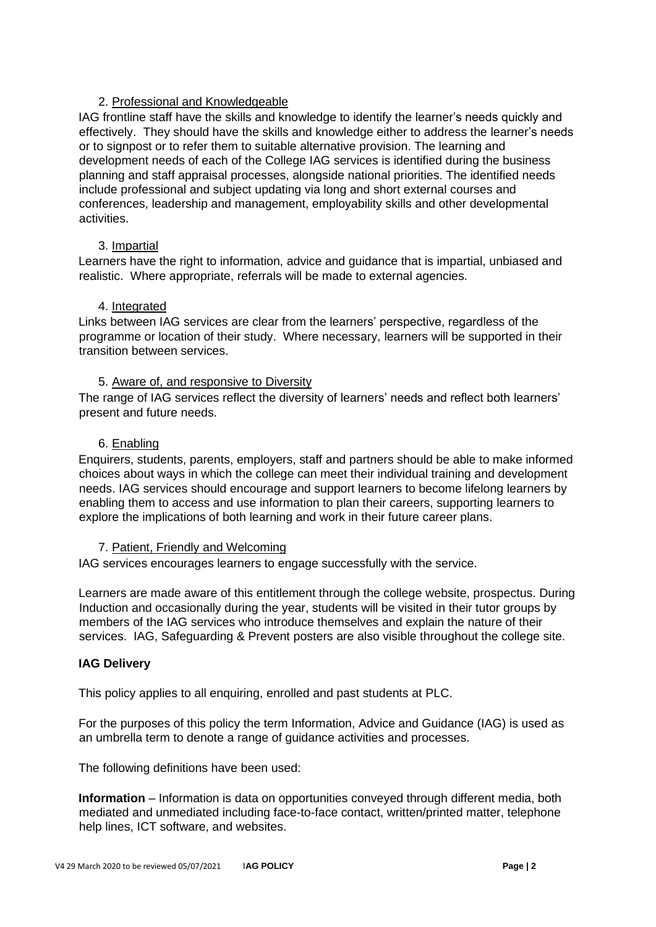# 2. Professional and Knowledgeable

IAG frontline staff have the skills and knowledge to identify the learner's needs quickly and effectively. They should have the skills and knowledge either to address the learner's needs or to signpost or to refer them to suitable alternative provision. The learning and development needs of each of the College IAG services is identified during the business planning and staff appraisal processes, alongside national priorities. The identified needs include professional and subject updating via long and short external courses and conferences, leadership and management, employability skills and other developmental activities.

# 3. Impartial

Learners have the right to information, advice and guidance that is impartial, unbiased and realistic. Where appropriate, referrals will be made to external agencies.

## 4. Integrated

Links between IAG services are clear from the learners' perspective, regardless of the programme or location of their study. Where necessary, learners will be supported in their transition between services.

## 5. Aware of, and responsive to Diversity

The range of IAG services reflect the diversity of learners' needs and reflect both learners' present and future needs.

## 6. Enabling

Enquirers, students, parents, employers, staff and partners should be able to make informed choices about ways in which the college can meet their individual training and development needs. IAG services should encourage and support learners to become lifelong learners by enabling them to access and use information to plan their careers, supporting learners to explore the implications of both learning and work in their future career plans.

#### 7. Patient, Friendly and Welcoming

IAG services encourages learners to engage successfully with the service.

Learners are made aware of this entitlement through the college website, prospectus. During Induction and occasionally during the year, students will be visited in their tutor groups by members of the IAG services who introduce themselves and explain the nature of their services. IAG, Safeguarding & Prevent posters are also visible throughout the college site.

# **IAG Delivery**

This policy applies to all enquiring, enrolled and past students at PLC.

For the purposes of this policy the term Information, Advice and Guidance (IAG) is used as an umbrella term to denote a range of guidance activities and processes.

The following definitions have been used:

**Information** – Information is data on opportunities conveyed through different media, both mediated and unmediated including face-to-face contact, written/printed matter, telephone help lines, ICT software, and websites.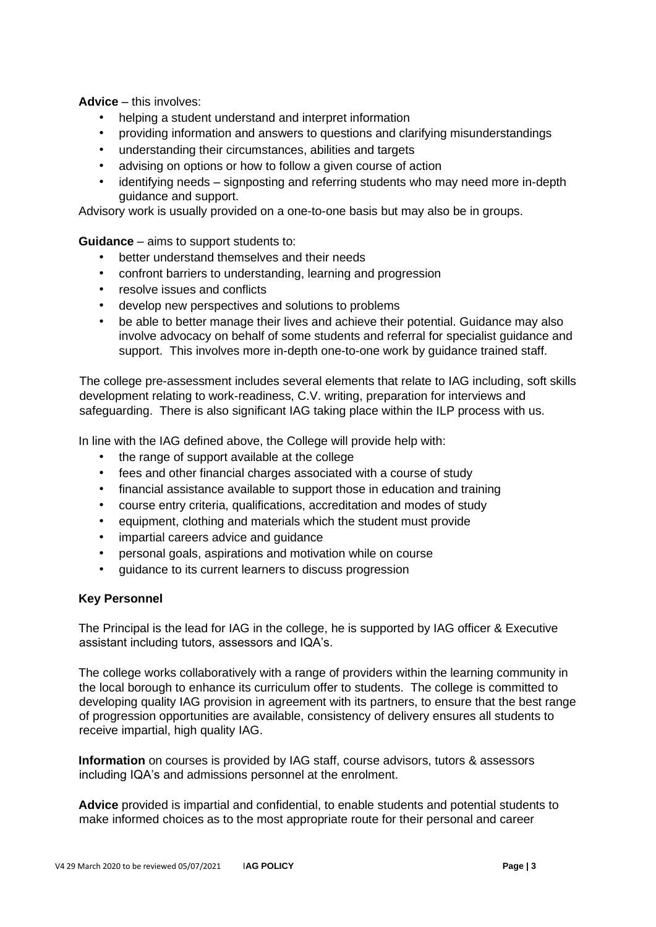**Advice** – this involves:

- helping a student understand and interpret information
- providing information and answers to questions and clarifying misunderstandings
- understanding their circumstances, abilities and targets
- advising on options or how to follow a given course of action
- identifying needs signposting and referring students who may need more in-depth guidance and support.

Advisory work is usually provided on a one-to-one basis but may also be in groups.

**Guidance** – aims to support students to:

- better understand themselves and their needs
- confront barriers to understanding, learning and progression
- resolve issues and conflicts
- develop new perspectives and solutions to problems
- be able to better manage their lives and achieve their potential. Guidance may also involve advocacy on behalf of some students and referral for specialist guidance and support. This involves more in-depth one-to-one work by guidance trained staff.

The college pre-assessment includes several elements that relate to IAG including, soft skills development relating to work-readiness, C.V. writing, preparation for interviews and safeguarding. There is also significant IAG taking place within the ILP process with us.

In line with the IAG defined above, the College will provide help with:

- the range of support available at the college
- fees and other financial charges associated with a course of study
- financial assistance available to support those in education and training
- course entry criteria, qualifications, accreditation and modes of study
- equipment, clothing and materials which the student must provide
- impartial careers advice and guidance
- personal goals, aspirations and motivation while on course
- guidance to its current learners to discuss progression

#### **Key Personnel**

The Principal is the lead for IAG in the college, he is supported by IAG officer & Executive assistant including tutors, assessors and IQA's.

The college works collaboratively with a range of providers within the learning community in the local borough to enhance its curriculum offer to students. The college is committed to developing quality IAG provision in agreement with its partners, to ensure that the best range of progression opportunities are available, consistency of delivery ensures all students to receive impartial, high quality IAG.

**Information** on courses is provided by IAG staff, course advisors, tutors & assessors including IQA's and admissions personnel at the enrolment.

**Advice** provided is impartial and confidential, to enable students and potential students to make informed choices as to the most appropriate route for their personal and career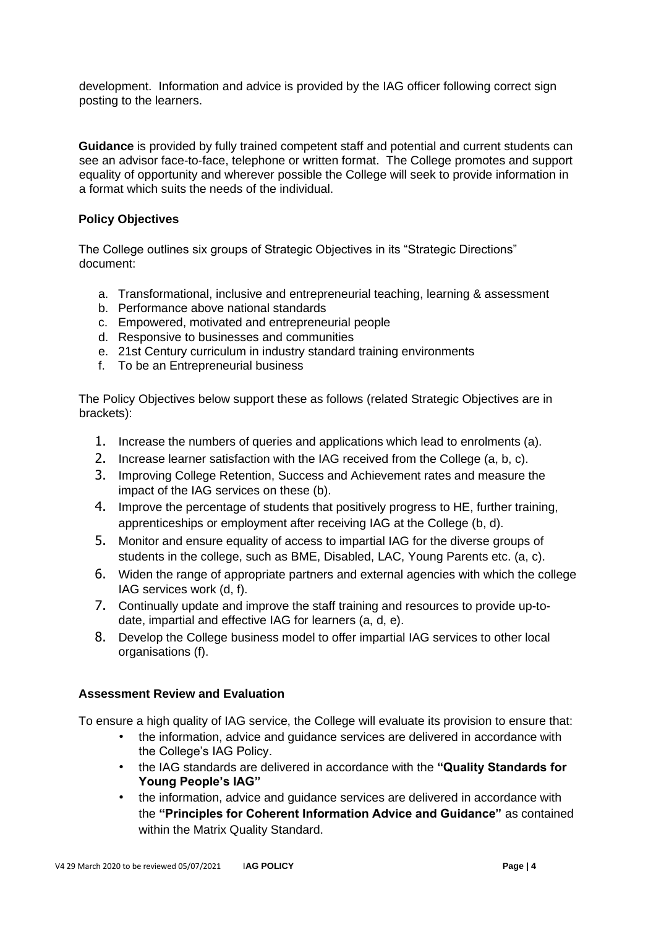development. Information and advice is provided by the IAG officer following correct sign posting to the learners.

**Guidance** is provided by fully trained competent staff and potential and current students can see an advisor face-to-face, telephone or written format. The College promotes and support equality of opportunity and wherever possible the College will seek to provide information in a format which suits the needs of the individual.

# **Policy Objectives**

The College outlines six groups of Strategic Objectives in its "Strategic Directions" document:

- a. Transformational, inclusive and entrepreneurial teaching, learning & assessment
- b. Performance above national standards
- c. Empowered, motivated and entrepreneurial people
- d. Responsive to businesses and communities
- e. 21st Century curriculum in industry standard training environments
- f. To be an Entrepreneurial business

The Policy Objectives below support these as follows (related Strategic Objectives are in brackets):

- 1. Increase the numbers of queries and applications which lead to enrolments (a).
- 2. Increase learner satisfaction with the IAG received from the College (a, b, c).
- 3. Improving College Retention, Success and Achievement rates and measure the impact of the IAG services on these (b).
- 4. Improve the percentage of students that positively progress to HE, further training, apprenticeships or employment after receiving IAG at the College (b, d).
- 5. Monitor and ensure equality of access to impartial IAG for the diverse groups of students in the college, such as BME, Disabled, LAC, Young Parents etc. (a, c).
- 6. Widen the range of appropriate partners and external agencies with which the college IAG services work (d, f).
- 7. Continually update and improve the staff training and resources to provide up-todate, impartial and effective IAG for learners (a, d, e).
- 8. Develop the College business model to offer impartial IAG services to other local organisations (f).

# **Assessment Review and Evaluation**

To ensure a high quality of IAG service, the College will evaluate its provision to ensure that:

- the information, advice and guidance services are delivered in accordance with the College's IAG Policy.
- the IAG standards are delivered in accordance with the **"Quality Standards for Young People's IAG"**
- the information, advice and guidance services are delivered in accordance with the **"Principles for Coherent Information Advice and Guidance"** as contained within the Matrix Quality Standard.